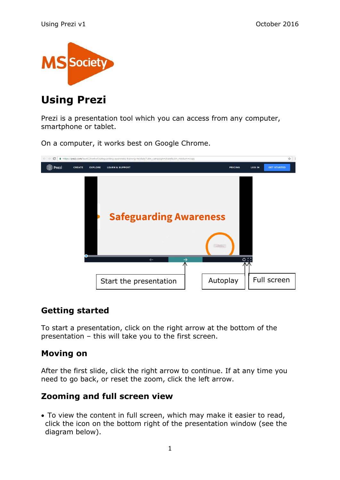

# **Using Prezi**

Prezi is a presentation tool which you can access from any computer, smartphone or tablet.

On a computer, it works best on Google Chrome.



## **Getting started**

To start a presentation, click on the right arrow at the bottom of the presentation – this will take you to the first screen.

## **Moving on**

After the first slide, click the right arrow to continue. If at any time you need to go back, or reset the zoom, click the left arrow.

# **Zooming and full screen view**

 To view the content in full screen, which may make it easier to read, click the icon on the bottom right of the presentation window (see the diagram below).